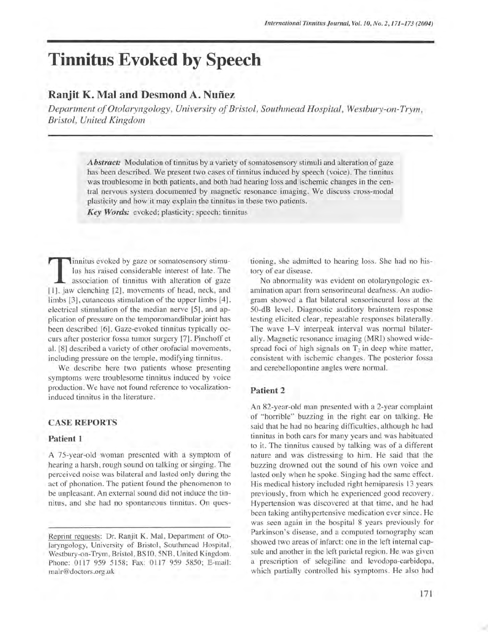# **Tinnitus Evoked by Speech**

# **Ranjit K. Mal and Desmond A. Nuñez**

*Department oj Otolaryngology, University oj Bristol, Southmead Hospital, Westbury-on-Trym, Bristol, United Kingdom* 

> *Abstract:* Modulation of tinnitus by a variety of somatosensory stimuli and alteration of gaze has been described. We present two cases of tinnitus induced by speech (voice). The tinnitus was troublesome in both patients, and both had hearing loss and ischemic changes in the central nervous system documented by magnetic resonance imaging. We discuss cross-modal plasticity and how it may explain the tinnitus in these two patients.

*Key Words:* evoked; plasticity; speech; tinnitus

**The Eurer Considerable interest of late.** The magnetic of binnitus considerable interest of late. The association of tinnitus with alteration of gaze [1], jaw clenching [2], movements of head, neck, and limbs [3], cutaneous stimulation of the upper limbs [4], electrical stimulation of the median nerve [5], and application of pressure on the temporomandibular joint has been described [6]. Gaze-evoked tinnitus typically occurs after posterior fossa tumor surgery [7]. Pinchoff et al. [8] described a variety of other orofacial movements, including pressure on the temple, modifying tinnitus.

We describe here two patients whose presenting symptoms were troublesome tinnitus induced by voice production. We have not found reference to vocalizationinduced tinnitus in the literature.

# CASE **REPORTS**

## **Patient 1**

A 75-year-old woman presented with a symptom of hearing a harsh, rough sound on talking or singing. The perceived noise was bilateral and lasted only during the act of phonation. The patient found the phenomenon to be unpleasant. An external sound did not induce the tinnitus, and she had no spontaneous tinnitus. On questioning, she admitted to hearing loss. She had no history of ear disease.

No abnormality was evident on otolaryngologic examination apart from sensorineural deafness. An audiogram showed a flat bilateral sensorineural loss at the 50-dB level. Diagnostic auditory brainstem response testing elicited clear, repeatable responses bilaterally. The wave I-V interpeak interval was normal bilaterally. Magnetic resonance imaging (MRI) showed widespread foci of high signals on  $T_2$  in deep white matter, consistent with ischemic changes. The posterior fossa and cerebellopontine angles were normal.

#### **Patient 2**

An 82-year-old man presented with a 2-year complaint of "horrible" buzzing in the right ear on talking. He said that he had no hearing difficulties, although he had tinnitus in both ears for many years and was habituated to it. The tinnitus caused by talking was of a different nature and was distressing to him. He said that the buzzing drowned out the sound of his own voice and lasted only when he spoke. Singing had the same effect. His medical history included right hemiparesis 13 years previously, from which he experienced good recovery. Hypertension was discovered at that time, and he had been taking antihypertensive medication ever since. He was seen again in the hospital 8 years previously for Parkinson's disease, and a computed tomography scan showed two areas of infarct: one in the left internal capsule and another in the left parietal region. He was given a prescription of selegiline and levodopa-carbidopa, which partially controlled his symptoms. He also had

Reprint reguests: Dr. Ranjit K. Mal, Department of Otolaryngology, University of Bristol, Southmead Hospital, Westbury-on-Trym, Bristol, BSlO, 5NB, United Kingdom. Phone: 0117 959 5158; Fax: 0117 959 5850; E-mail: malr@doctors.org.uk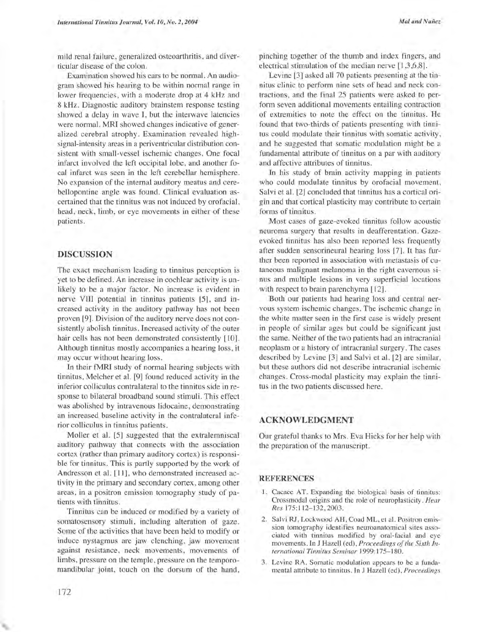mild renal failure , generalized osteoarthritis, and diverticular disease of the colon.

Examination showed his ears to be normal. An audiogram showed his hearing to be within normal range in lower frequencies, with a moderate drop at 4 kHz and 8 kHz. Diagnostic auditory brainstem response testing showed a delay in wave I, but the interwave latencies were normal. MRI showed changes indicative of generalized cerebral atrophy. Examination revealed highsignal-intensity areas in a periventricular distribution consistent with small-vessel ischemic changes. One focal infarct involved the left occipital lobe, and another focal infarct was seen in the left cerebellar hemisphere. No expansion of the internal auditory meatus and cerebellopontine angle was found. Clinical evaluation ascertained that the tinnitus was not induced by orofacial, head, neck, limb, or eye movements in either of these patients.

### DISCUSSION

The exact mechanism leading to tinnitus perception is yet to be defined. An increase in cochlear activity is unlikely to be a major factor. No increase is evident in nerve VIII potential in tinnitus patients [5], and increased activity in the auditory pathway has not been proven [9]. Division of the auditory nerve does not consistently abolish tinnitus. Increased activity of the outer hair cells has not been demonstrated consistently [10]. Although tinnitus mostly accompanies a hearing loss, it may occur without hearing loss.

In their fMRI study of normal hearing subjects with tinnitus, Melcher et al. [9] found reduced activity in the inferior colliculus contralateral to the tinnitus side in response to bilateral broadband sound stimuli. This effect was abolished by intravenous lidocaine, demonstrating an increased baseline activity in the contralateral inferior colliculus in tinnitus patients.

Moller et al. [5] suggested that the extralemniscal auditory pathway that connects with the association cortex (rather than primary auditory cortex) is responsible for tinnitus. This is partly supported by the work of Andresson et al. [11], who demonstrated increased activity in the primary and secondary cortex, among other areas, in a positron emission tomography study of patients with tinnitus.

Tinnitus can be induced or modified by a variety of somatosensory stimuli, including alteration of gaze. Some of the activities that have been held to modify or induce nystagmus are jaw clenching, jaw movement against resistance, neck movements, movements of limbs, pressure on the temple, pressure on the temporomandibular joint, touch on the dorsum of the hand,

pinching together of the thumb and index fingers, and electrical stimulation of the median nerve [1,3,6,8].

Levine [3] asked all 70 patients presenting at the tinnitus clinic to perform nine sets of head and neck contractions, and the final 25 patients were asked to perform seven additional movements entailing contraction of extremities to note the effect on the tinnitus. He found that two-thirds of patients presenting with tinnitus could modulate their tinnitus with somatic activity, and he suggested that somatic modulation might be a fundamental attribute of tinnitus on a par with auditory and affective attributes of tinnitus.

In his study of brain activity mapping in patients who could modulate tinnitus by orofacial movement, Salvi et al. [2] concluded that tinnitus has a cortical origin and that cortical plasticity may contribute to certain forms of tinnitus.

Most cases of gaze-evoked tinnitus follow acoustic neuroma surgery that results in deafferentation. Gazeevoked tinnitus has also been reported less frequently after sudden sensorineural hearing loss [7]. It has further been reported in association with metastasis of cutaneous malignant melanoma in the right cavernous sinus and multiple lesions in very superficial locations with respect to brain parenchyma [12].

Both our patients had hearing loss and central nervous system ischemic changes. The ischemic change in the white matter seen in the first case is widely present in people of similar ages but could be significant just the same. Neither of the two patients had an intracranial neoplasm or a history of intracranial surgery. The cases described by Levine [3] and Salvi et al. [2] are similar, but these authors did not describe intracranial ischemic changes. Cross-modal plasticity may explain the tinnitus in the two patients discussed here.

# ACKNOWLEDGMENT

Our grateful thanks to Mrs. Eva Hicks for her help with the preparation of the manuscript.

#### REFERENCES

- 1. Cacace AT. Expanding the biological basis of tinnitus: Crossmodal origins and the role of neuroplasticity. *Hear Res* 175:112-132, 2003 .
- 2. Salvi RJ, Lockwood AH, Coad ML, et al. Positron emission tomography identifies neuroanatomical sites associated with tinnitus modified by oral-facial and eye movements. In J Hazell (ed), *Proceedings of the Sixth International Tinnitus Seminar 1999:175-180.*
- 3. Levine RA. Somatic modulation appears to be a fundamental attribute to tinnitus. In J Hazell (ed), *Proceedings*